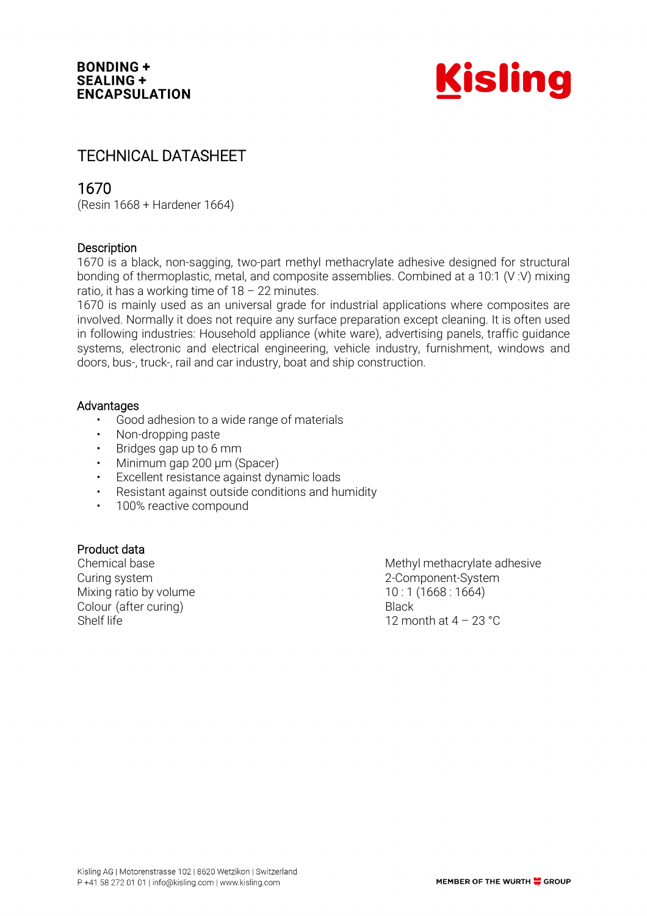

# TECHNICAL DATASHEET

## 1670

(Resin 1668 + Hardener 1664)

## **Description**

1670 is a black, non-sagging, two-part methyl methacrylate adhesive designed for structural bonding of thermoplastic, metal, and composite assemblies. Combined at a 10:1 (V :V) mixing ratio, it has a working time of  $18 - 22$  minutes.

1670 is mainly used as an universal grade for industrial applications where composites are involved. Normally it does not require any surface preparation except cleaning. It is often used in following industries: Household appliance (white ware), advertising panels, traffic guidance systems, electronic and electrical engineering, vehicle industry, furnishment, windows and doors, bus-, truck-, rail and car industry, boat and ship construction.

## **Advantages**

- Good adhesion to a wide range of materials
- Non-dropping paste
- Bridges gap up to 6 mm
- Minimum gap 200 µm (Spacer)
- Excellent resistance against dynamic loads
- Resistant against outside conditions and humidity
- 100% reactive compound

## Product data

Curing system 2-Component-System Mixing ratio by volume  $10:1 (1668:1664)$ Colour (after curing) Black Shelf life 12 month at 4 – 23 °C

Chemical base **Methyl methacrylate adhesive** Methyl methacrylate adhesive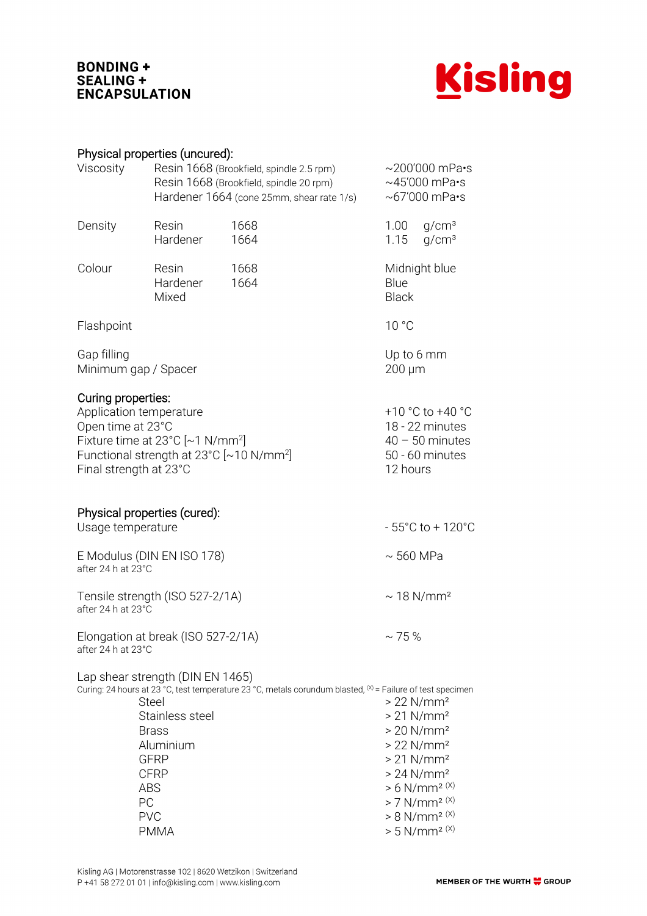## **BONDING +** SEALING + **ENCAPSULATION**



| Physical properties (uncured): |  |
|--------------------------------|--|
|                                |  |

| Viscosity                                                                                                                                                                                                      | Resin 1668 (Brookfield, spindle 2.5 rpm)<br>Resin 1668 (Brookfield, spindle 20 rpm)<br>Hardener 1664 (cone 25mm, shear rate 1/s) | $\sim$ 200'000 mPa•s<br>$\sim$ 45'000 mPa·s<br>$\sim$ 67'000 mPa $\cdot$ s                                      |                                                                                                                                                                                                                                                                                                |                                                                                         |  |  |
|----------------------------------------------------------------------------------------------------------------------------------------------------------------------------------------------------------------|----------------------------------------------------------------------------------------------------------------------------------|-----------------------------------------------------------------------------------------------------------------|------------------------------------------------------------------------------------------------------------------------------------------------------------------------------------------------------------------------------------------------------------------------------------------------|-----------------------------------------------------------------------------------------|--|--|
| Density                                                                                                                                                                                                        | Resin<br>Hardener                                                                                                                | 1668<br>1664                                                                                                    | 1.00<br>1.15                                                                                                                                                                                                                                                                                   | g/cm <sup>3</sup><br>q/cm <sup>3</sup>                                                  |  |  |
| Colour                                                                                                                                                                                                         | Resin<br>Hardener<br>Mixed                                                                                                       | 1668<br>1664                                                                                                    | Midnight blue<br>Blue<br><b>Black</b>                                                                                                                                                                                                                                                          |                                                                                         |  |  |
| Flashpoint                                                                                                                                                                                                     |                                                                                                                                  |                                                                                                                 | 10 °C                                                                                                                                                                                                                                                                                          |                                                                                         |  |  |
| Gap filling<br>Minimum gap / Spacer                                                                                                                                                                            | Up to 6 mm<br>$200 \mu m$                                                                                                        |                                                                                                                 |                                                                                                                                                                                                                                                                                                |                                                                                         |  |  |
| Curing properties:<br>Application temperature<br>Open time at 23°C<br>Fixture time at $23^{\circ}$ C [~1 N/mm <sup>2</sup> ]<br>Functional strength at 23°C [~10 N/mm <sup>2</sup> ]<br>Final strength at 23°C |                                                                                                                                  |                                                                                                                 |                                                                                                                                                                                                                                                                                                | +10 °C to +40 °C<br>18 - 22 minutes<br>$40 - 50$ minutes<br>50 - 60 minutes<br>12 hours |  |  |
| Physical properties (cured):<br>Usage temperature                                                                                                                                                              |                                                                                                                                  |                                                                                                                 |                                                                                                                                                                                                                                                                                                | $-55^{\circ}$ C to + 120 $^{\circ}$ C                                                   |  |  |
| E Modulus (DIN EN ISO 178)<br>after 24 h at 23°C                                                                                                                                                               |                                                                                                                                  |                                                                                                                 |                                                                                                                                                                                                                                                                                                | $\sim$ 560 MPa                                                                          |  |  |
| Tensile strength (ISO 527-2/1A)<br>after 24 h at 23°C                                                                                                                                                          | $\sim$ 18 N/mm <sup>2</sup>                                                                                                      |                                                                                                                 |                                                                                                                                                                                                                                                                                                |                                                                                         |  |  |
| $\sim$ 75 %<br>Elongation at break (ISO 527-2/1A)<br>after 24 h at 23°C                                                                                                                                        |                                                                                                                                  |                                                                                                                 |                                                                                                                                                                                                                                                                                                |                                                                                         |  |  |
| ABS<br>PC<br><b>PVC</b>                                                                                                                                                                                        | Lap shear strength (DIN EN 1465)<br>Steel<br>Stainless steel<br><b>Brass</b><br>Aluminium<br>GFRP<br><b>CFRP</b><br><b>PMMA</b>  | Curing: 24 hours at 23 °C, test temperature 23 °C, metals corundum blasted, $\aleph$ = Failure of test specimen | $>22$ N/mm <sup>2</sup><br>$> 21$ N/mm <sup>2</sup><br>$> 20$ N/mm <sup>2</sup><br>$> 22$ N/mm <sup>2</sup><br>$> 21$ N/mm <sup>2</sup><br>$>24$ N/mm <sup>2</sup><br>$> 6$ N/mm <sup>2 (X)</sup><br>$> 7$ N/mm <sup>2 (X)</sup><br>$> 8$ N/mm <sup>2 (X)</sup><br>$> 5$ N/mm <sup>2 (X)</sup> |                                                                                         |  |  |